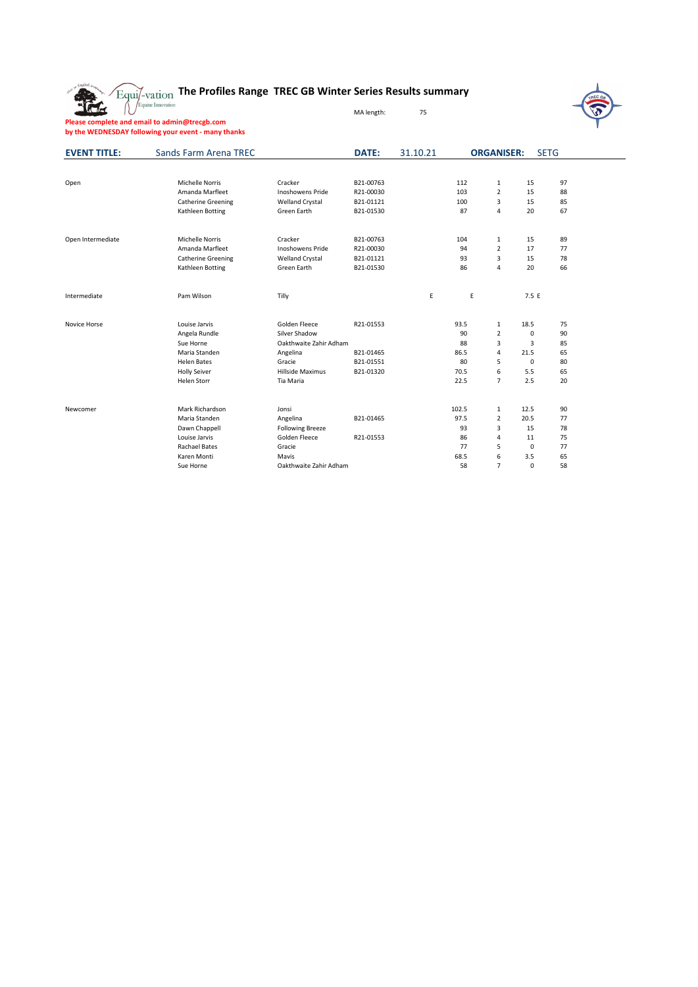

## **The Profiles Range TREC GB Winter Series Results summary**

MA length: 75



**Please complete and email to admin@trecgb.com by the WEDNESDAY following your event - many thanks**

| <b>EVENT TITLE:</b> | Sands Farm Arena TREC     |                         | <b>DATE:</b> | 31.10.21 |       | <b>ORGANISER:</b> |             | <b>SETG</b> |  |
|---------------------|---------------------------|-------------------------|--------------|----------|-------|-------------------|-------------|-------------|--|
|                     |                           |                         |              |          |       |                   |             |             |  |
| Open                | <b>Michelle Norris</b>    | Cracker                 | B21-00763    |          | 112   | $\mathbf{1}$      | 15          | 97          |  |
|                     | Amanda Marfleet           | <b>Inoshowens Pride</b> | R21-00030    |          | 103   | $\overline{2}$    | 15          | 88          |  |
|                     | <b>Catherine Greening</b> | <b>Welland Crystal</b>  | B21-01121    |          | 100   | 3                 | 15          | 85          |  |
|                     | Kathleen Botting          | Green Earth             | B21-01530    |          | 87    | $\overline{4}$    | 20          | 67          |  |
| Open Intermediate   | <b>Michelle Norris</b>    | Cracker                 | B21-00763    |          | 104   | $\mathbf{1}$      | 15          | 89          |  |
|                     | Amanda Marfleet           | <b>Inoshowens Pride</b> | R21-00030    |          | 94    | $\overline{2}$    | 17          | 77          |  |
|                     | <b>Catherine Greening</b> | <b>Welland Crystal</b>  | B21-01121    |          | 93    | 3                 | 15          | 78          |  |
|                     | Kathleen Botting          | Green Earth             | B21-01530    |          | 86    | 4                 | 20          | 66          |  |
| Intermediate        | Pam Wilson                | Tilly                   |              | Ε        | E     |                   | 7.5 E       |             |  |
|                     |                           |                         |              |          |       |                   |             |             |  |
| Novice Horse        | Louise Jarvis             | Golden Fleece           | R21-01553    |          | 93.5  | 1                 | 18.5        | 75          |  |
|                     | Angela Rundle             | Silver Shadow           |              |          | 90    | $\overline{2}$    | 0           | 90          |  |
|                     | Sue Horne                 | Oakthwaite Zahir Adham  |              |          | 88    | 3                 | 3           | 85          |  |
|                     | Maria Standen             | Angelina                | B21-01465    |          | 86.5  | 4                 | 21.5        | 65          |  |
|                     | <b>Helen Bates</b>        | Gracie                  | B21-01551    |          | 80    | 5                 | $\Omega$    | 80          |  |
|                     | <b>Holly Seiver</b>       | <b>Hillside Maximus</b> | B21-01320    |          | 70.5  | 6                 | 5.5         | 65          |  |
|                     | <b>Helen Storr</b>        | Tia Maria               |              |          | 22.5  | $\overline{7}$    | 2.5         | 20          |  |
| Newcomer            | Mark Richardson           | Jonsi                   |              |          | 102.5 | 1                 | 12.5        | 90          |  |
|                     | Maria Standen             | Angelina                | B21-01465    |          | 97.5  | $\overline{2}$    | 20.5        | 77          |  |
|                     | Dawn Chappell             | <b>Following Breeze</b> |              |          | 93    | 3                 | 15          | 78          |  |
|                     | Louise Jarvis             | Golden Fleece           | R21-01553    |          | 86    | 4                 | 11          | 75          |  |
|                     | <b>Rachael Bates</b>      | Gracie                  |              |          | 77    | 5                 | 0           | 77          |  |
|                     | Karen Monti               | Mavis                   |              |          | 68.5  | 6                 | 3.5         | 65          |  |
|                     | Sue Horne                 | Oakthwaite Zahir Adham  |              |          | 58    | $\overline{7}$    | $\mathbf 0$ | 58          |  |
|                     |                           |                         |              |          |       |                   |             |             |  |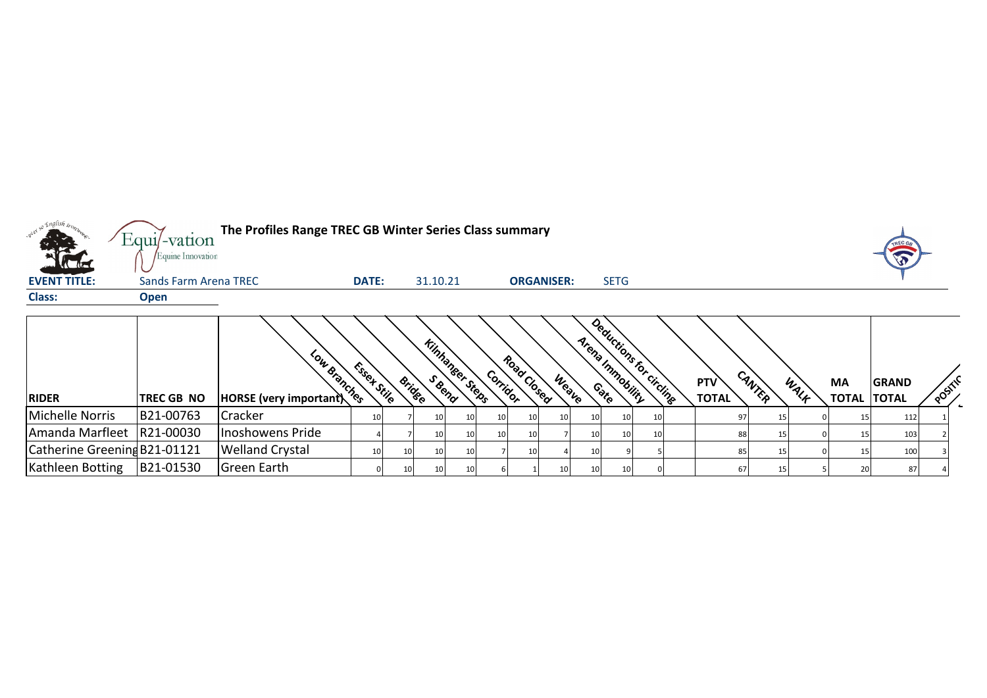

| <b>RIDER</b>                 | <b>TREC GB NO</b> | Low Branches<br><b>HORSE</b> (very important) | Essex Stile | <b>Bridge</b>   | <b>Kinhanser Steps</b> | Corridor | Road Closed | Weave | Deductions for circling<br>Arena Inmobility |  | <b>PTV</b><br><b>TOTAL</b> | CANTER | WALK | MA<br><b>TOTAL</b> | <b>GRAND</b><br><b>TOTAL</b> | POSTLY |  |
|------------------------------|-------------------|-----------------------------------------------|-------------|-----------------|------------------------|----------|-------------|-------|---------------------------------------------|--|----------------------------|--------|------|--------------------|------------------------------|--------|--|
| Michelle Norris              | B21-00763         | Cracker                                       |             | 10              | 10                     | 10       | 10          |       | 10 <sup>1</sup>                             |  |                            |        |      |                    | 112                          |        |  |
| Amanda Marfleet   R21-00030  |                   | Inoshowens Pride                              |             | 10              | 10                     | 10       | <b>10</b>   |       |                                             |  |                            |        |      |                    | 103                          |        |  |
| Catherine Greening B21-01121 |                   | <b>Welland Crystal</b>                        |             | 101             |                        |          | 10          |       |                                             |  |                            |        |      |                    | 100                          |        |  |
| Kathleen Botting             | B21-01530         | Green Earth                                   |             | 10 <sup>1</sup> |                        |          |             |       |                                             |  |                            |        |      |                    | 87                           |        |  |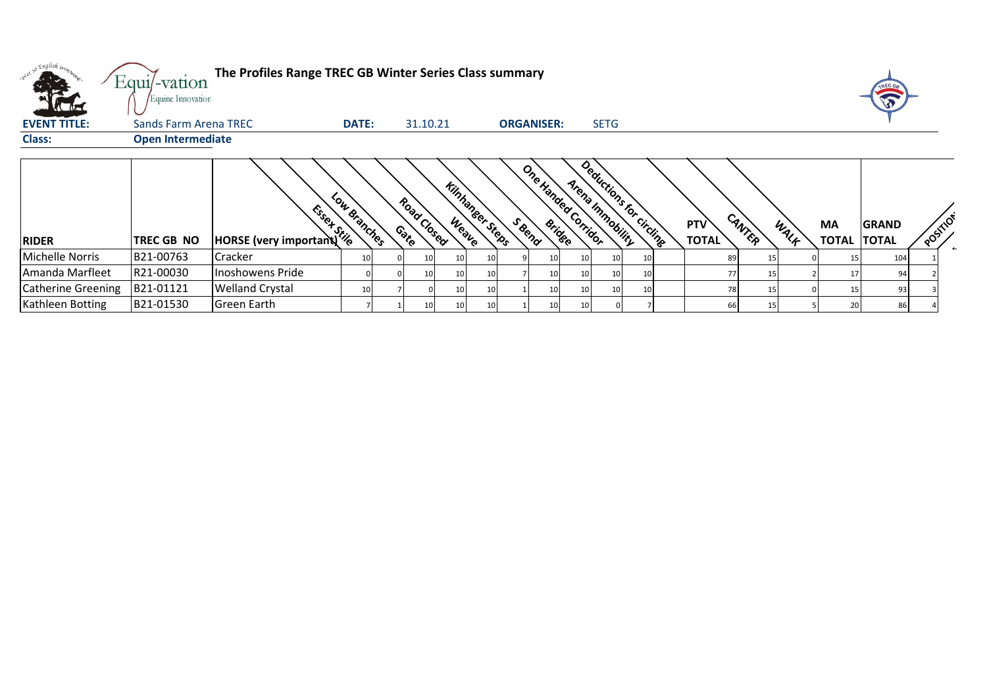| n <sup>a el so</sup> English inon. | Equi/-vation<br>Equine Innovation | The Profiles Range TREC GB Winter Series Class summary |              |                      |                        |    |        |                     |                 |                  |                         |                            |        |      |                                 |              |          |  |
|------------------------------------|-----------------------------------|--------------------------------------------------------|--------------|----------------------|------------------------|----|--------|---------------------|-----------------|------------------|-------------------------|----------------------------|--------|------|---------------------------------|--------------|----------|--|
| <b>EVENT TITLE:</b>                | Sands Farm Arena TREC             |                                                        | <b>DATE:</b> | 31.10.21             |                        |    |        | <b>ORGANISER:</b>   |                 | <b>SETG</b>      |                         |                            |        |      |                                 |              |          |  |
| <b>Class:</b>                      | <b>Open Intermediate</b>          |                                                        |              |                      |                        |    |        |                     |                 |                  |                         |                            |        |      |                                 |              |          |  |
| <b>RIDER</b>                       | <b>TREC GB NO</b>                 | Essex Stile<br>HORSE (very important)                  | Low Branches | Road Closed<br>Conto | <b>Kinhaneer Steps</b> |    | S Bend | One Handed Corridor |                 | Arena Inmobility | Deductions for circling | <b>PTV</b><br><b>TOTAL</b> | CANTER | WALF | <b>MA</b><br><b>TOTAL TOTAL</b> | <b>GRAND</b> | POSITION |  |
| <b>Michelle Norris</b>             | IB21-00763                        | <b>Cracker</b>                                         | 10           | 10                   | 10                     | 10 |        | 10                  | <b>10</b>       | 10               | 10                      | 89                         | 15     |      |                                 | 104          |          |  |
| Amanda Marfleet                    | R21-00030                         | Inoshowens Pride                                       |              | 10                   | 10 <sub>l</sub>        | 10 |        | 10 <sub>l</sub>     | 10              | 10 <sup>1</sup>  | 10                      | 77                         | 15     |      | 17                              | 94           |          |  |
| <b>Catherine Greening</b>          | B21-01121                         | <b>Welland Crystal</b>                                 | 10           |                      | 10                     | 10 |        | 10 <sup>1</sup>     | 10 <sub>l</sub> | 10               | 10                      | 78                         | 15     |      |                                 | 93           |          |  |
| Kathleen Botting                   | B21-01530                         | Green Earth                                            |              | 10                   | 10                     | 10 |        | 10 <sup>1</sup>     | 10 <sup>1</sup> |                  |                         | <b>66</b>                  | 15     |      | 20                              | 86           |          |  |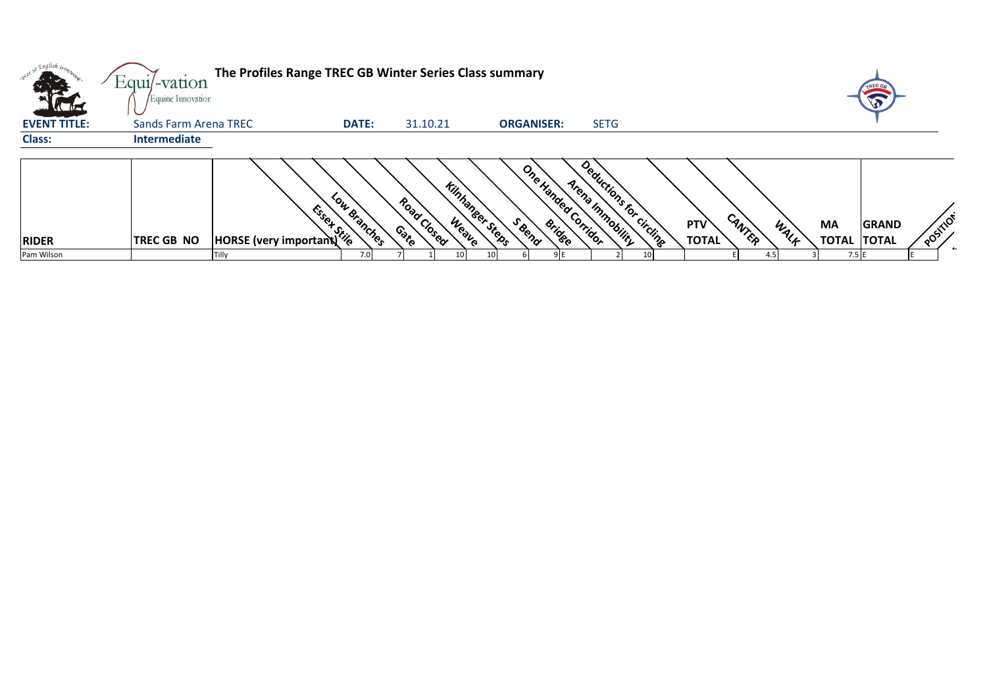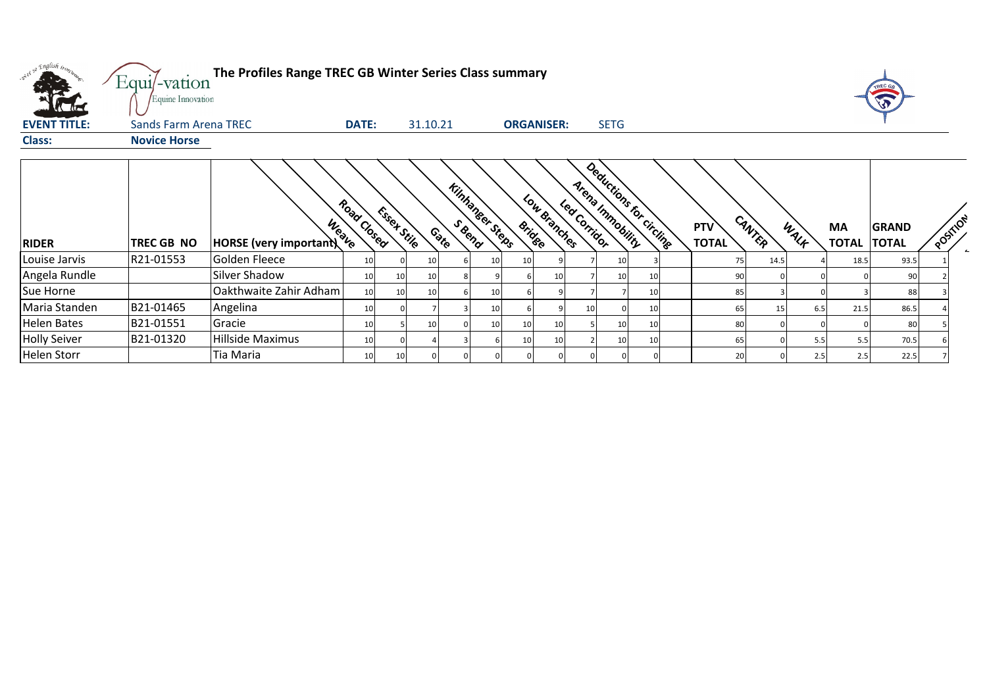|                     | Equi/-vation          | The Profiles Range TREC GB Winter Series Class summary |                 |             |          |   |                 |                   |              |                 |                                             |    |                            |        |      |      |                    |                              |          |
|---------------------|-----------------------|--------------------------------------------------------|-----------------|-------------|----------|---|-----------------|-------------------|--------------|-----------------|---------------------------------------------|----|----------------------------|--------|------|------|--------------------|------------------------------|----------|
|                     | Equine Innovation     |                                                        |                 |             |          |   |                 |                   |              |                 |                                             |    |                            |        |      |      |                    |                              |          |
| <b>EVENT TITLE:</b> | Sands Farm Arena TREC |                                                        | <b>DATE:</b>    |             | 31.10.21 |   |                 | <b>ORGANISER:</b> |              |                 | <b>SETG</b>                                 |    |                            |        |      |      |                    |                              |          |
| <b>Class:</b>       | <b>Novice Horse</b>   |                                                        |                 |             |          |   |                 |                   |              |                 |                                             |    |                            |        |      |      |                    |                              |          |
| <b>RIDER</b>        | TREC GB NO            | Weave<br>HORSE (very important)                        | Road Closed     | Essey Stile | Contro   |   | Kinhaneer Steps | <b>Bridge</b>     | Low Branches | Led Corridor    | Deductions for circline<br>Arena Immobility |    | <b>PTV</b><br><b>TOTAL</b> | CANTER |      | WALK | MA<br><b>TOTAL</b> | <b>GRAND</b><br><b>TOTAL</b> | POSITION |
| Louise Jarvis       | R21-01553             | Golden Fleece                                          | 10              |             | 10       | 6 | 10 <sub>1</sub> | 10 <sub>1</sub>   |              |                 | 10                                          |    |                            | 75     | 14.5 |      | 18.5               | 93.5                         |          |
| Angela Rundle       |                       | Silver Shadow                                          | 10 <sup>1</sup> | 10          | 10       |   |                 |                   |              |                 | 10                                          | 10 |                            | 90     |      |      |                    | 90                           |          |
| Sue Horne           |                       | Oakthwaite Zahir Adham                                 | 10 <sup>1</sup> | 10          | 10       | 6 | 10 <sub>1</sub> |                   |              |                 |                                             | 10 |                            | 85     |      |      |                    | 88                           |          |
| Maria Standen       | B21-01465             | Angelina                                               | 10 <sup>1</sup> |             |          | 3 | 10 <sub>1</sub> |                   |              | 10 <sup>1</sup> |                                             | 10 |                            | 65     | 15   | 6.5  | 21.5               | 86.5                         |          |
| <b>Helen Bates</b>  | B21-01551             | Gracie                                                 | 10 <sup>1</sup> |             | 10       |   | 10 <sub>1</sub> | 10 <sup>1</sup>   | 10           |                 | 10                                          | 10 |                            | 80     |      |      |                    | 80                           |          |
| <b>Holly Seiver</b> | B21-01320             | Hillside Maximus                                       | 10              |             |          |   |                 | 10                |              |                 | 10                                          | 10 |                            | 65     |      | 5.5  | 5.5                | 70.5                         |          |
| <b>Helen Storr</b>  |                       | Tia Maria                                              | 10 <sup>1</sup> | 10          |          |   |                 |                   |              |                 |                                             |    |                            | 20     |      | 2.5  | 2.5                | 22.5                         |          |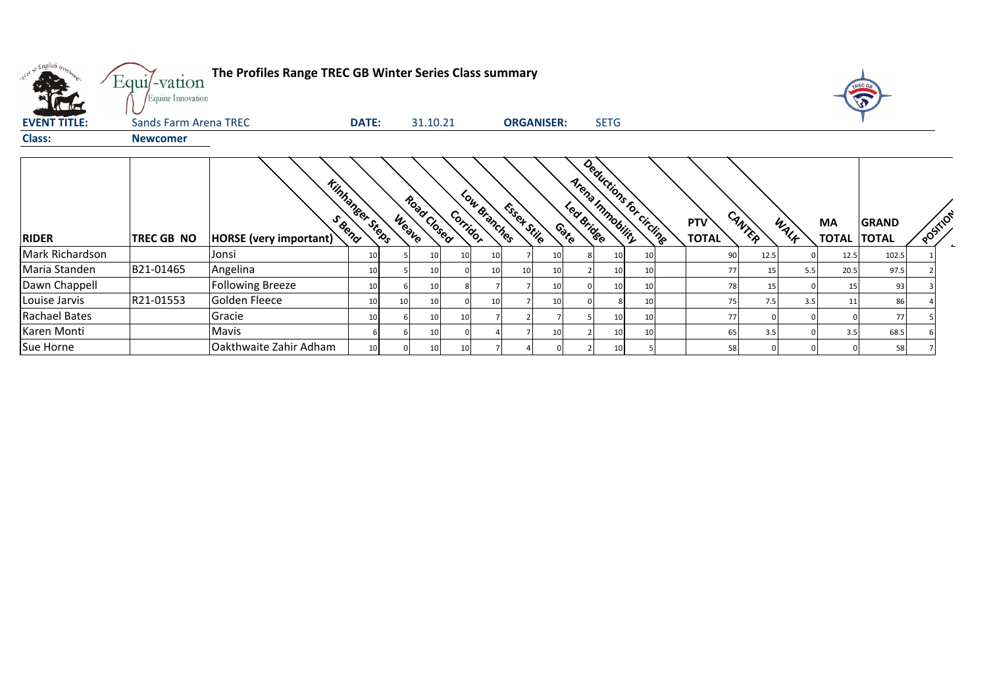| what so English trong | Equi/-vation<br>Equine Innovation | The Profiles Range TREC GB Winter Series Class summary |              |              |             |          |                 |             |                   |                    |                                             |    |                            |        |      |                           |                              |          |  |
|-----------------------|-----------------------------------|--------------------------------------------------------|--------------|--------------|-------------|----------|-----------------|-------------|-------------------|--------------------|---------------------------------------------|----|----------------------------|--------|------|---------------------------|------------------------------|----------|--|
| <b>EVENT TITLE:</b>   | Sands Farm Arena TREC             |                                                        | <b>DATE:</b> |              | 31.10.21    |          |                 |             | <b>ORGANISER:</b> |                    | <b>SETG</b>                                 |    |                            |        |      |                           |                              |          |  |
| <b>Class:</b>         | <b>Newcomer</b>                   |                                                        |              |              |             |          |                 |             |                   |                    |                                             |    |                            |        |      |                           |                              |          |  |
| <b>RIDER</b>          | TREC GB NO                        | <b>Kinhaneer Steps</b><br>HORSE (very important)       |              | <b>Weave</b> | Road Closed | Corridor | Low Branches    | Esset Stile |                   | Led Bridge<br>Coto | Deductions for circling<br>Arena Innobility |    | <b>PTV</b><br><b>TOTAL</b> | CANTER | WALF | <b>MA</b><br><b>TOTAL</b> | <b>GRAND</b><br><b>TOTAL</b> | POSITION |  |
| Mark Richardson       |                                   | Jonsi                                                  | 10           |              |             | 10       | 10              |             | 10                |                    |                                             | 10 | 90                         | 12.5   |      | 12.5                      | 102.5                        |          |  |
| Maria Standen         | B21-01465                         | Angelina                                               | 10           |              |             |          | 10 <sup>1</sup> |             | 10                |                    |                                             | 10 | 77                         | 15     | 5.5  | 20.5                      | 97.5                         |          |  |
| Dawn Chappell         |                                   | <b>Following Breeze</b>                                | 10           |              |             |          |                 |             | 10                |                    |                                             | 10 | 78                         | 15     |      | 15                        | 93                           |          |  |
| Louise Jarvis         | R21-01553                         | Golden Fleece                                          | 10           | 10           | 10          |          | 10              |             | 10                |                    |                                             | 10 | 75                         | 7.5    | 3.5  | 11                        | 86                           |          |  |
| <b>Rachael Bates</b>  |                                   | Gracie                                                 | 10           |              | 10          |          |                 |             |                   |                    | 10                                          | 10 | 77                         |        |      |                           | 77                           |          |  |
| Karen Monti           |                                   | Mavis                                                  |              |              | 10          |          |                 |             | 10                |                    |                                             | 10 | 65                         | 3.5    |      | 3.5                       | 68.5                         |          |  |
| Sue Horne             |                                   | Oakthwaite Zahir Adham                                 | 10           |              | 10          | 10       |                 |             |                   |                    |                                             |    | 58                         |        |      |                           | 58                           |          |  |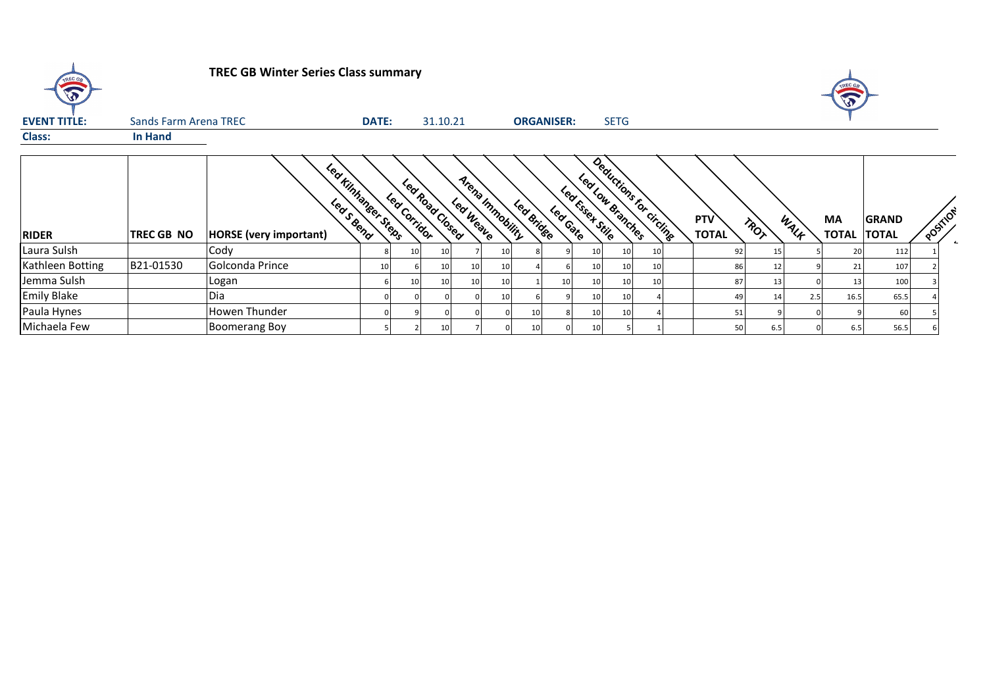| TREC OR             |                       | <b>TREC GB Winter Series Class summary</b>            |              |              |                 |                              |    |            |                   |                                       |             |                         |                            |      |      | TREC GB     |                              |          |  |
|---------------------|-----------------------|-------------------------------------------------------|--------------|--------------|-----------------|------------------------------|----|------------|-------------------|---------------------------------------|-------------|-------------------------|----------------------------|------|------|-------------|------------------------------|----------|--|
| <b>EVENT TITLE:</b> | Sands Farm Arena TREC |                                                       | <b>DATE:</b> |              | 31.10.21        |                              |    |            | <b>ORGANISER:</b> |                                       | <b>SETG</b> |                         |                            |      |      |             |                              |          |  |
| <b>Class:</b>       | In Hand               |                                                       |              |              |                 |                              |    |            |                   |                                       |             |                         |                            |      |      |             |                              |          |  |
| <b>RIDER</b>        | TREC GB NO            | Leaf Kinhaneer Steps<br><b>HORSE</b> (very important) |              | Led Corridor | Led Road Cosed  | Arena Inmobility<br>Leaweaue |    | Led Bridge | Lea Gate          | Led Low Branches<br>Leaf Essex Stille |             | Deductions for circling | <b>PTV</b><br><b>TOTAL</b> | TROT | WALK | MA<br>TOTAL | <b>GRAND</b><br><b>TOTAL</b> | POSTILON |  |
| Laura Sulsh         |                       | Cody                                                  |              | 10           | 10              |                              | 10 |            |                   | 10                                    | 10          | 10                      | 92                         | 15   |      | 20          | 112                          |          |  |
| Kathleen Botting    | B21-01530             | Golconda Prince                                       |              |              | 10              | 10                           | 10 |            |                   | 10                                    | 10          | 10                      | 86                         | 12   |      | 21          | 107                          |          |  |
| Jemma Sulsh         |                       | Logan                                                 |              | 10           | 10              |                              | 10 |            | 10                | 10 <sup>1</sup>                       | 10          | 10                      | 87                         | 13   |      | 13          | 100                          |          |  |
| <b>Emily Blake</b>  |                       | Dia                                                   |              |              |                 |                              | 10 |            |                   | 10                                    | 10          |                         | 49                         | 14   | 2.5  | 16.5        | 65.5                         |          |  |
| Paula Hynes         |                       | Howen Thunder                                         |              |              |                 |                              |    | 10         |                   | 10 <sub>l</sub>                       | -10         |                         | 51                         |      |      |             | 60                           |          |  |
| Michaela Few        |                       | <b>Boomerang Boy</b>                                  |              |              | 10 <sub>l</sub> |                              |    | 10         |                   | 10                                    |             |                         | 50                         | 6.5  |      | 6.5         | 56.5                         |          |  |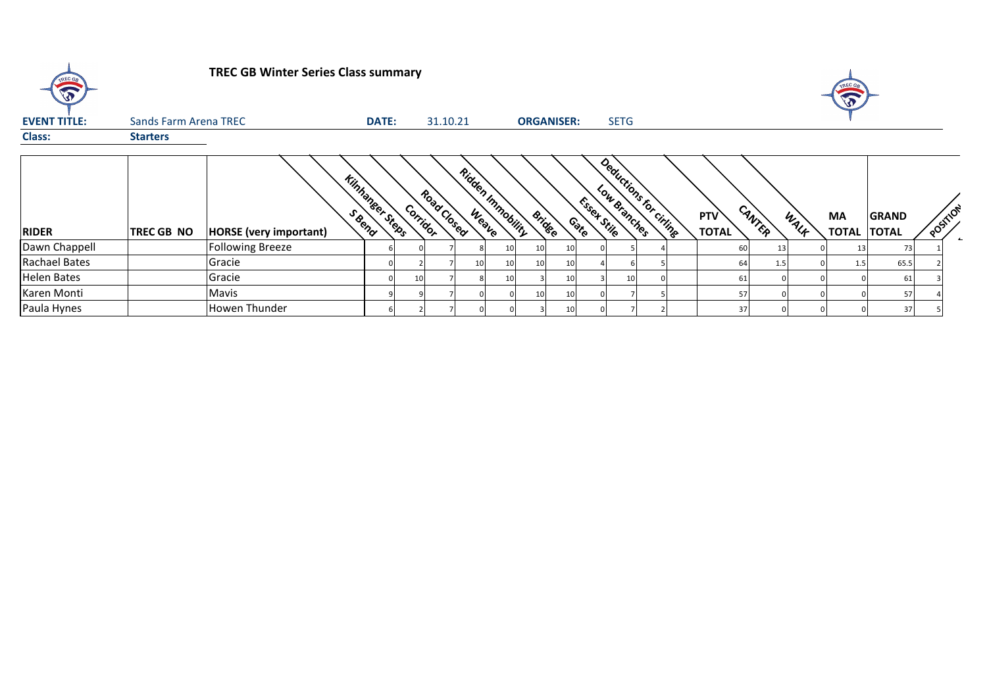| TREC GO              |                       | <b>TREC GB Winter Series Class summary</b> |                        |          |             |    |                   |                   |    |                       |             |                        |                            |        |      | L           |                              |          |
|----------------------|-----------------------|--------------------------------------------|------------------------|----------|-------------|----|-------------------|-------------------|----|-----------------------|-------------|------------------------|----------------------------|--------|------|-------------|------------------------------|----------|
| <b>EVENT TITLE:</b>  | Sands Farm Arena TREC |                                            | <b>DATE:</b>           |          | 31.10.21    |    |                   | <b>ORGANISER:</b> |    |                       | <b>SETG</b> |                        |                            |        |      |             |                              |          |
| <b>Class:</b>        | <b>Starters</b>       |                                            |                        |          |             |    |                   |                   |    |                       |             |                        |                            |        |      |             |                              |          |
| <b>RIDER</b>         | TREC GB NO            | <b>HORSE</b> (very important)              | <b>Kinhaneer Steps</b> | Corridor | Road Closed |    | Ridden Inmobility | <b>Bridge</b>     |    | Essex Stile<br>Contro |             | Deductions for criting | <b>PTV</b><br><b>TOTAL</b> | CANTER | WALF | MA<br>TOTAL | <b>GRAND</b><br><b>TOTAL</b> | POSTILOT |
| Dawn Chappell        |                       | <b>Following Breeze</b>                    |                        |          |             |    | 10                | 10                | 10 |                       |             |                        | 60                         |        |      |             | 731                          |          |
| <b>Rachael Bates</b> |                       | Gracie                                     |                        |          |             | 10 | 10                | 10                | 10 |                       |             |                        | 64                         | 1.5    |      | 1.5         | 65.5                         |          |
| <b>Helen Bates</b>   |                       | Gracie                                     |                        | 10       |             |    |                   |                   | 10 |                       | 10          |                        | 61                         |        |      |             | 61                           |          |
| Karen Monti          |                       | Mavis                                      |                        |          |             |    |                   | 10                | 10 |                       |             |                        | 57                         |        |      |             | 57                           |          |
| Paula Hynes          |                       | Howen Thunder                              |                        |          |             |    |                   |                   | 10 |                       |             |                        | 37                         |        |      |             | 37                           |          |